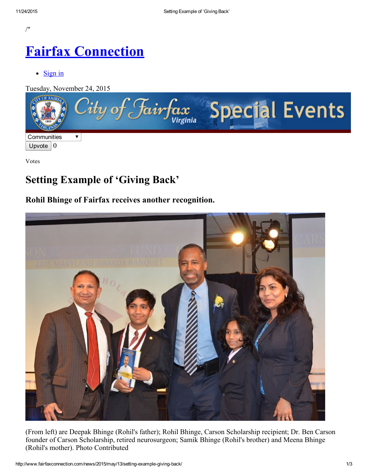/"

# Fairfax [Connection](http://www.fairfaxconnection.com/)

 $\bullet$  [Sign](http://www.fairfaxconnection.com/accounts/login/?next=/news/2015/may/13/setting-example-giving-back/) in

Tuesday, November 24, 2015



Votes

## Setting Example of 'Giving Back'

### Rohil Bhinge of Fairfax receives another recognition.



(From left) are Deepak Bhinge (Rohil's father); Rohil Bhinge, Carson Scholarship recipient; Dr. Ben Carson founder of Carson Scholarship, retired neurosurgeon; Samik Bhinge (Rohil's brother) and Meena Bhinge (Rohil's mother). Photo Contributed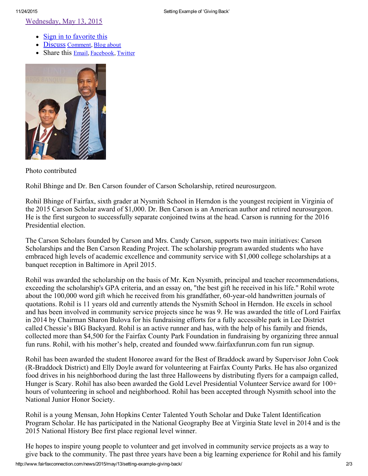[Wednesday,](http://www.fairfaxconnection.com/news/2015/may/13/setting-example-giving-back/) May 13, 2015

- Sign in to [favorite](http://www.fairfaxconnection.com/accounts/login/?next=/news/2015/may/13/setting-example-giving-back/) this
	- Discuss Comment, Blog [about](http://www.fairfaxconnection.com/weblogs/post/?cid=125&oid=91682)
	- Share this [Email,](http://www.fairfaxconnection.com/mailfriend/125/91682/70255886bc/) [Facebook](https://www.facebook.com/sharer.php?u=http://www.fairfaxconnection.com/news/2015/may/13/setting-example-giving-back/), [Twitter](http://twitter.com/home?status=http://www.fairfaxconnection.com/news/2015/may/13/setting-example-giving-back/)



Photo contributed

Rohil Bhinge and Dr. Ben Carson founder of Carson Scholarship, retired neurosurgeon.

Rohil Bhinge of Fairfax, sixth grader at Nysmith School in Herndon is the youngest recipient in Virginia of the 2015 Carson Scholar award of \$1,000. Dr. Ben Carson is an American author and retired neurosurgeon. He is the first surgeon to successfully separate conjoined twins at the head. Carson is running for the 2016 Presidential election.

The Carson Scholars founded by Carson and Mrs. Candy Carson, supports two main initiatives: Carson Scholarships and the Ben Carson Reading Project. The scholarship program awarded students who have embraced high levels of academic excellence and community service with \$1,000 college scholarships at a banquet reception in Baltimore in April 2015.

Rohil was awarded the scholarship on the basis of Mr. Ken Nysmith, principal and teacher recommendations, exceeding the scholarship's GPA criteria, and an essay on, "the best gift he received in his life." Rohil wrote about the 100,000 word gift which he received from his grandfather, 60-year-old handwritten journals of quotations. Rohil is 11 years old and currently attends the Nysmith School in Herndon. He excels in school and has been involved in community service projects since he was 9. He was awarded the title of Lord Fairfax in 2014 by Chairman Sharon Bulova for his fundraising efforts for a fully accessible park in Lee District called Chessie's BIG Backyard. Rohil is an active runner and has, with the help of his family and friends, collected more than \$4,500 for the Fairfax County Park Foundation in fundraising by organizing three annual fun runs. Rohil, with his mother's help, created and founded www.fairfaxfunrun.com fun run signup.

Rohil has been awarded the student Honoree award for the Best of Braddock award by Supervisor John Cook (R-Braddock District) and Elly Doyle award for volunteering at Fairfax County Parks. He has also organized food drives in his neighborhood during the last three Halloweens by distributing flyers for a campaign called, Hunger is Scary. Rohil has also been awarded the Gold Level Presidential Volunteer Service award for 100+ hours of volunteering in school and neighborhood. Rohil has been accepted through Nysmith school into the National Junior Honor Society.

Rohil is a young Mensan, John Hopkins Center Talented Youth Scholar and Duke Talent Identification Program Scholar. He has participated in the National Geography Bee at Virginia State level in 2014 and is the 2015 National History Bee first place regional level winner.

He hopes to inspire young people to volunteer and get involved in community service projects as a way to give back to the community. The past three years have been a big learning experience for Rohil and his family